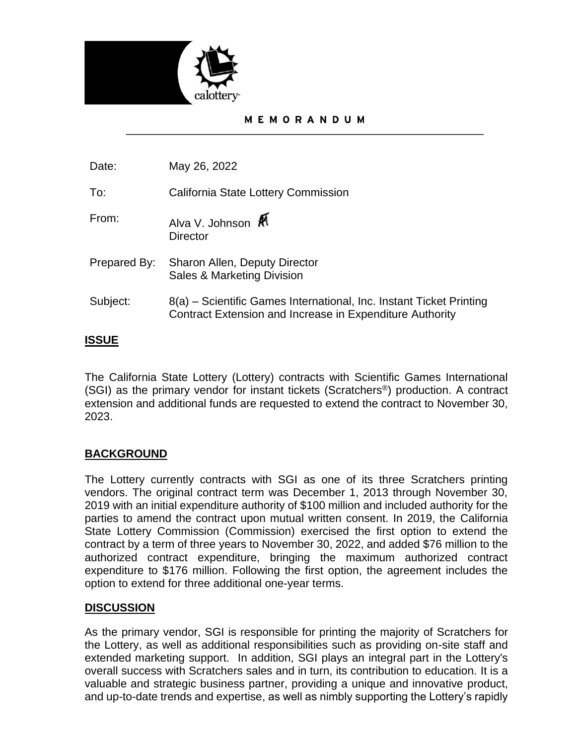

#### MEMORANDUM

Date: May 26, 2022

To: California State Lottery Commission

- From: Alva V. Johnson **Director**
- Prepared By: Sharon Allen, Deputy Director Sales & Marketing Division
- Subject: 8(a) – Scientific Games International, Inc. Instant Ticket Printing Contract Extension and Increase in Expenditure Authority

# **ISSUE**

The California State Lottery (Lottery) contracts with Scientific Games International (SGI) as the primary vendor for instant tickets (Scratchers®) production. A contract extension and additional funds are requested to extend the contract to November 30, 2023.

## **BACKGROUND**

The Lottery currently contracts with SGI as one of its three Scratchers printing vendors. The original contract term was December 1, 2013 through November 30, 2019 with an initial expenditure authority of \$100 million and included authority for the parties to amend the contract upon mutual written consent. In 2019, the California State Lottery Commission (Commission) exercised the first option to extend the contract by a term of three years to November 30, 2022, and added \$76 million to the authorized contract expenditure, bringing the maximum authorized contract expenditure to \$176 million. Following the first option, the agreement includes the option to extend for three additional one-year terms.

## **DISCUSSION**

As the primary vendor, SGI is responsible for printing the majority of Scratchers for the Lottery, as well as additional responsibilities such as providing on-site staff and extended marketing support. In addition, SGI plays an integral part in the Lottery's overall success with Scratchers sales and in turn, its contribution to education. It is a valuable and strategic business partner, providing a unique and innovative product, and up-to-date trends and expertise, as well as nimbly supporting the Lottery's rapidly